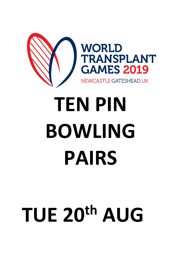

## **TEN PIN BOWLING PAIRS**

## **TUE 20th AUG**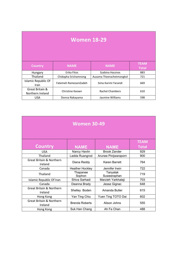| <b>Women 18-29</b>                  |                       |                          |                             |
|-------------------------------------|-----------------------|--------------------------|-----------------------------|
| <b>Country</b>                      | <b>NAME</b>           | <b>NAME</b>              | <b>TEAM</b><br><b>Total</b> |
| Hungary                             | Erika Fitos           | Szabina Hasznos          | 883                         |
| Thailand                            | Chidapha Srichamnong  | Ausama Theerachetmongkol | 721                         |
| Islamic Republic Of<br><b>Iran</b>  | Fatemeh RamezaniZadeh | Sima Karimi Yarandi      | 669                         |
| Great Britain &<br>Northern Ireland | Christine Keown       | Rachel Chambers          | 610                         |
| <b>USA</b>                          | Donna Nakayama        | Jasmine Williams         | 598                         |

٦

**The Company** 

| <b>Women 30-49</b>                             |                        |                         |              |  |
|------------------------------------------------|------------------------|-------------------------|--------------|--|
|                                                |                        |                         | <b>TEAM</b>  |  |
| Country                                        | <b>NAME</b>            | <b>NAME</b>             | <b>Total</b> |  |
| <b>USA</b>                                     | Nancy Havlin           | <b>Brook Zander</b>     | 929          |  |
| Thailand                                       | Ladda Ruangrod         | Arunee Pinijwaraporn    | 900          |  |
| <b>Great Britain &amp; Northern</b><br>Ireland | Diana Reddy            | <b>Karen Barrett</b>    | 764          |  |
| Canada                                         | <b>Heather Hockley</b> | Jennifer Irwin          | 722          |  |
| Thailand                                       | Thapanee<br>Sophon     | Tanyalak<br>Suweeraphan | 719          |  |
| Islamic Republic Of Iran                       | Shiva Sarhadi          | Marzieh Yarkhalaji      | 703          |  |
| Canada                                         | Deanna Brady           | Jesse Gignac            | 648          |  |
| <b>Great Britain &amp; Northern</b><br>Ireland | Shelley Boden          | Amanda Butler           | 615          |  |
| Hong Kong                                      | Yan Ting Chiu          | Yuen Ting TOTO Dai      | 602          |  |
| <b>Great Britain &amp; Northern</b><br>Ireland | <b>Brenda Roberts</b>  | Alison Johns            | 555          |  |
| Hong Kong                                      | Suk Han Chang          | Ah Fa Chan              | 488          |  |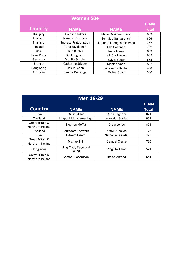| Women 50+      |                     |                          |              |
|----------------|---------------------|--------------------------|--------------|
|                |                     |                          |              |
| <b>Country</b> | <b>NAME</b>         | <b>NAME</b>              | <b>Total</b> |
| Hungary        | Alajosne Lukacs     | Maria Czakone Szabo      | 883          |
| Thailand       | Namthip Sriruang    | Sumalee Sangarunsiri     | 806          |
| Thailand       | Suprapa Prataungpon | Jutharat Luengchantawong | 762          |
| Finland        | Tarja Savolainen    | Ulla Saarinen            | 702          |
| <b>USA</b>     | <b>Tina Rueles</b>  | Irene Marra              | 663          |
| Hong Kong      | Siu Fong Lam        | lok Choi Wong            | 645          |
| Germany        | Monika Scholer      | Sylvia Sauer             | 563          |
| France         | Catherine Stieber   | Martine Varin            | 532          |
| Hong Kong      | Hok In Chan         | Jaina Asha Sabhan        | 450          |
| Australia      | Sandra De Lange     | <b>Esther Scott</b>      | 340          |

| <b>Men 18-29</b>                    |                             |                         |                             |
|-------------------------------------|-----------------------------|-------------------------|-----------------------------|
| <b>Country</b>                      | <b>NAME</b>                 | <b>NAME</b>             | <b>TEAM</b><br><b>Total</b> |
| <b>USA</b>                          | David Miller                | <b>Curtis Higgons</b>   | 871                         |
| Thailand                            | Attapol Likitpattamasingh   | Apiwatt Srivilai        | 861                         |
| Great Britain &<br>Northern Ireland | Stephen Moffat              | Craig Jones             | 801                         |
| Thailand                            | Parkpoom Thaworn            | <b>Kittiwit Chailee</b> | 775                         |
| USA.                                | <b>Edward Deem</b>          | Nathaniel Winkler       | 728                         |
| Great Britain &<br>Northern Ireland | Michael Hill                | Samuel Clarke           | 726                         |
| Hong Kong                           | Hing Choi, Raymond<br>Leung | Ping Hei Chan           | 571                         |
| Great Britain &<br>Northern Ireland | Carlton Richardson          | Ikhlag Ahmed            | 544                         |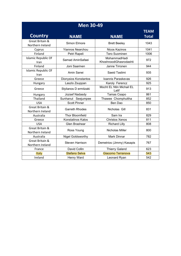| <b>Men 30-49</b>                    |                         |                                        |                             |
|-------------------------------------|-------------------------|----------------------------------------|-----------------------------|
| <b>Country</b>                      | <b>NAME</b>             | <b>NAME</b>                            | <b>TEAM</b><br><b>Total</b> |
| Great Britain &<br>Northern Ireland | Simon Elmore            | <b>Brett Beeley</b>                    | 1043                        |
| Cyprus                              | <b>Yiannos Nearchou</b> | <b>Nicos Kazinos</b>                   | 1041                        |
| Finland                             | Petri Rapeli            | <b>Tero Suominen</b>                   | 1006                        |
| <b>Islamic Republic Of</b><br>Iran  | Samad AminSafaei        | MohammadHadi<br>KhoshnoodiGhasrodashti | 972                         |
| Finland                             | Joni Saarinen           | Janne Tirronen                         | 944                         |
| <b>Islamic Republic Of</b><br>Iran  | Amin Sanei              | Saeid Taslimi                          | 935                         |
| Greece                              | Dionysios Konstantos    | Ioannis Paraskevas                     | 926                         |
| Hungary                             | Laszlo Zsuppan          | Karoly Ferencz                         | 925                         |
| Greece                              | Stylianos D ermitzaki   | Mocht EL Ntin Michail EL<br>Latif      | 913                         |
| Hungary                             | Jozsef Nadasdy          | Tamas Csapo                            | 861                         |
| Thailand                            | Sunhanut Seejumpee      | Thawee Chomphuttha                     | 852                         |
| <b>USA</b>                          | <b>Scott Pinner</b>     | Ben Dao                                | 850                         |
| Great Britain &<br>Northern Ireland | <b>Garreth Rhodes</b>   | Nicholas Gill                          | 831                         |
| Australia                           | <b>Thor Bloomfield</b>  | Sam Ira                                | 829                         |
| Greece                              | Konstatinos Kalos       | <b>Christos Xenos</b>                  | 811                         |
| <b>USA</b>                          | <b>Glen Brashear</b>    | <b>Richard Lilly</b>                   | 808                         |
| Great Britain &<br>Northern Ireland | Ross Young              | <b>Nicholas Miller</b>                 | 800                         |
| Australia                           | Nigel Goldsworthy       | <b>Mark Dinnar</b>                     | 782                         |
| Great Britain &<br>Northern Ireland | <b>Steven Harrison</b>  | Demetrios (Jimmy) Kasapis              | 767                         |
| France                              | David Collin            | <b>Thierry Galand</b>                  | 623                         |
| <b>Italy</b>                        | <b>Stefano Selva</b>    | Giacomo Terranova                      | 543                         |
| Ireland                             | <b>Henry Ward</b>       | Leonard Ryan                           | 542                         |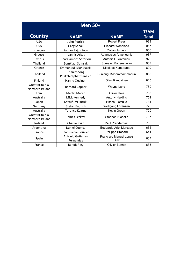| <b>Men 50+</b>                      |                                       |                                       |              |
|-------------------------------------|---------------------------------------|---------------------------------------|--------------|
|                                     |                                       |                                       | <b>TEAM</b>  |
| <b>Country</b>                      | <b>NAME</b>                           | <b>NAME</b>                           | <b>Total</b> |
| <b>USA</b>                          | John Petrick                          | <b>Robert Fryer</b>                   | 989          |
| <b>USA</b>                          | <b>Greg Sabak</b>                     | <b>Richard Wendland</b>               | 967          |
| Hungary                             | Sandor Lajos Soos                     | Zoltan Juhasz                         | 956          |
| Greece                              | Ioannis Arkas                         | <b>Athanasios Anachourlis</b>         | 937          |
| Cyprus                              | Charalambos Soteriou                  | Antonis C. Antoniou                   | 920          |
| Thailand                            | Somkiat Somsak                        | Sumate Maneesuwan                     | 907          |
| Greece                              | <b>Emmanouil Manouakis</b>            | Nikolaos Kamaratos                    | 899          |
| Thailand                            | Thanitphong<br>Phakchiraphatthanasiri | Bunjong Kasemthammanun                | 858          |
| Finland                             | Hannu Ouvinen                         | Olavi Rautiainen                      | 810          |
| Great Britain &<br>Northern Ireland | <b>Bernard Capper</b>                 | Wayne Lang                            | 780          |
| <b>USA</b>                          | <b>Martin Maren</b>                   | <b>Oliver Hale</b>                    | 753          |
| Australia                           | Mick Kennedy                          | <b>Antony Harding</b>                 | 751          |
| Japan                               | Katsufumi Suzuki                      | Hitoshi Totsuka                       | 734          |
| Germany                             | Stefan Endrich                        | Wolfgang Lorenzen                     | 725          |
| Australia                           | <b>Terence Kearns</b>                 | Kevin Green                           | 720          |
| Great Britain &<br>Northern Ireland | James Leckey                          | <b>Stephen Nicholls</b>               | 717          |
| Ireland                             | Charlie Ryan                          | Paul Prendergast                      | 705          |
| Argentina                           | Daniel Cuenca                         | Eedgardo Ariel Mercado                | 665          |
| France                              | Jean-Pierre Bouvier                   | <b>Philippe Brocard</b>               | 641          |
| Spain                               | <b>Antonio Gutierrez</b><br>Fernandez | <b>Francisco Manuel Lopez</b><br>Diaz | 637          |
| France                              | <b>Benoit Riey</b>                    | <b>Olivier Bonnin</b>                 | 633          |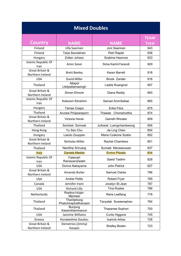| <b>Mixed Doubles</b>                |                                       |                          |              |
|-------------------------------------|---------------------------------------|--------------------------|--------------|
|                                     |                                       |                          | <b>TEAM</b>  |
| <b>Country</b>                      | <b>NAME</b>                           | NAME                     | <b>Total</b> |
| Finland                             | <b>Ulla Saarinen</b>                  | Joni Saarinen            | 943          |
| Finland                             | Tarja Savolainen                      | Petri Rapeli             | 938          |
| Hungary                             | Zoltan Juhasz                         | Szabina Hasznos          | 933          |
| <b>Islamic Republic Of</b><br>Iran  | Amin Sanei                            | Sima KarimiYarandi       | 929          |
| Great Britain &<br>Northern Ireland | <b>Brett Beeley</b>                   | <b>Karen Barrett</b>     | 918          |
| <b>USA</b>                          | David Miller                          | Brook Zander             | 916          |
| Thailand                            | Attapol<br>Likitpattamasingh          | Ladda Ruangrod           | 907          |
| Great Britain &<br>Northern Ireland | Simon Elmore                          | Diana Reddy              | 900          |
| <b>Islamic Republic Of</b><br>Iran  | Kolsoom Ebrahimi                      | Samad AminSafaei         | 885          |
| Hungary                             | Tamas Csapo                           | <b>Erika Fitos</b>       | 875          |
| Thailand                            | Arunee Pinijwaraporn                  | Thawee Chomphuttha       | 874          |
| Great Britain &<br>Northern Ireland | Victoria Horan                        | <b>Garreth Rhodes</b>    | 859          |
| Thailand                            | Somkiat Somsak                        | Jutharat Luengchantawong | 856          |
| Hong Kong                           | Yu San Chu                            | Jie Ling Chen            | 854          |
| Hungary                             | Laszlo Zsuppan                        | Maria Czakone Szabo      | 852          |
| Great Britain &<br>Northern Ireland | Nicholas Miller                       | <b>Rachel Chambers</b>   | 851          |
| Thailand                            | Namthip Sriruang                      | Sumate Maneesuwan        | 837          |
| <b>Italy</b>                        | Daniela Medda                         | <b>Enrico Pitzalis</b>   | 834          |
| <b>Islamic Republic Of</b><br>Iran  | Fatemeh<br>RamezaniZadeh              | Saeid Taslimi            | 828          |
| <b>USA</b>                          | Donna Nakayama                        | John Petrick             | 827          |
| Great Britain &<br>Northern Ireland | Amanda Butler                         | Samuel Clarke            | 796          |
| <b>USA</b>                          | <b>Amber Pettis</b>                   | <b>Robert Fryer</b>      | 795          |
| Canada                              | Jennifer Irwin                        | Jocelyn St-Jean          | 787          |
| <b>USA</b>                          | <b>Richard Lilly</b>                  | <b>Tina Rueles</b>       | 786          |
| Netherlands                         | Roelina Huijer-<br>Mijnheer           | Rene Leeflang            | 778          |
| Thailand                            | Thanitphong<br>Phakchiraphatthanasiri | Tanyalak Suweeraphan     | 764          |
| Thailand                            | <b>Bunjong</b><br>Kasemthammanun      | Thapanee Sophon          | 750          |
| <b>USA</b>                          | Jasmine Williams                      | <b>Curtis Higgons</b>    | 745          |
| Greece                              | Konstantinia Gouliou                  | Ioannis Arkas            | 728          |
| Great Britain &<br>Northern Ireland | Demetrios (Jimmy)<br>Kasapis          | Shelley Boden            | 723          |